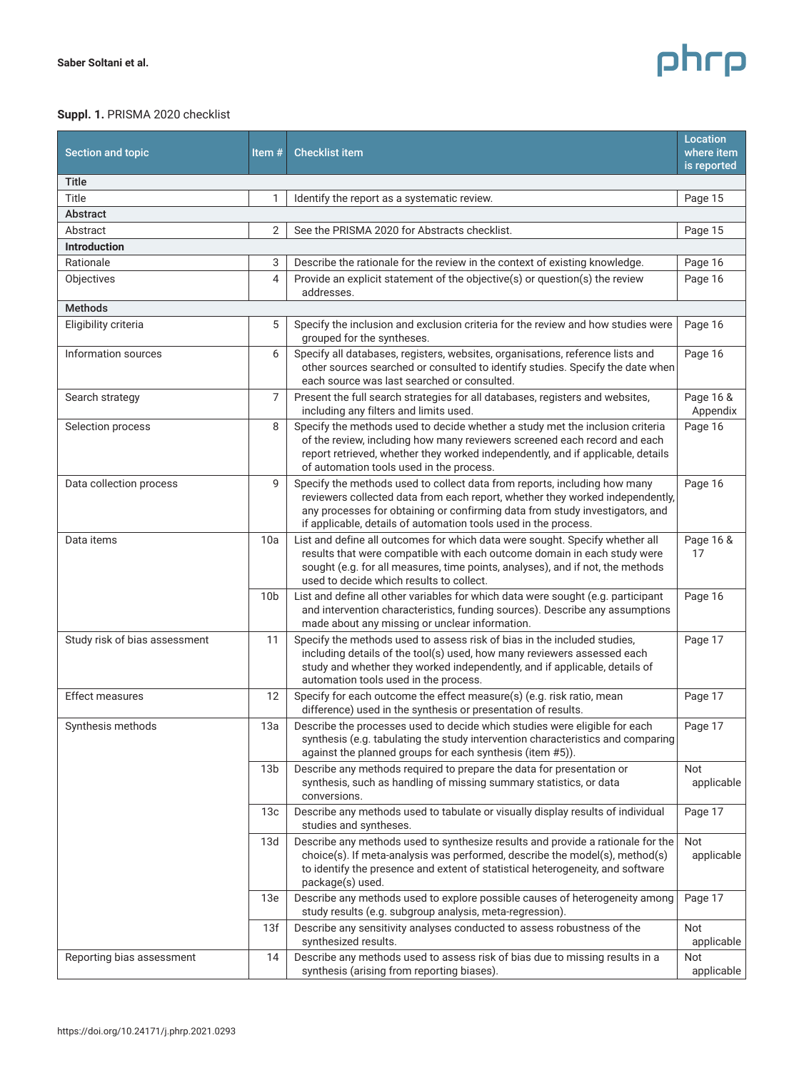## phrp

## **Suppl. 1.** PRISMA 2020 checklist

| Section and topic             | Item $#$        | <b>Checklist item</b>                                                                                                                                                                                                                                                                                         | Location<br>where item<br>is reported |
|-------------------------------|-----------------|---------------------------------------------------------------------------------------------------------------------------------------------------------------------------------------------------------------------------------------------------------------------------------------------------------------|---------------------------------------|
| Title                         |                 |                                                                                                                                                                                                                                                                                                               |                                       |
| Title                         | 1               | Identify the report as a systematic review.                                                                                                                                                                                                                                                                   | Page 15                               |
| Abstract                      |                 |                                                                                                                                                                                                                                                                                                               |                                       |
| Abstract                      | 2               | See the PRISMA 2020 for Abstracts checklist.                                                                                                                                                                                                                                                                  | Page 15                               |
| <b>Introduction</b>           |                 |                                                                                                                                                                                                                                                                                                               |                                       |
| Rationale                     | 3               | Describe the rationale for the review in the context of existing knowledge.                                                                                                                                                                                                                                   | Page 16                               |
| Objectives                    | 4               | Provide an explicit statement of the objective(s) or question(s) the review<br>addresses.                                                                                                                                                                                                                     | Page 16                               |
| <b>Methods</b>                |                 |                                                                                                                                                                                                                                                                                                               |                                       |
| Eligibility criteria          | 5               | Specify the inclusion and exclusion criteria for the review and how studies were<br>grouped for the syntheses.                                                                                                                                                                                                | Page 16                               |
| Information sources           | 6               | Specify all databases, registers, websites, organisations, reference lists and<br>other sources searched or consulted to identify studies. Specify the date when<br>each source was last searched or consulted.                                                                                               | Page 16                               |
| Search strategy               | 7               | Present the full search strategies for all databases, registers and websites,<br>including any filters and limits used.                                                                                                                                                                                       | Page 16 &<br>Appendix                 |
| Selection process             | 8               | Specify the methods used to decide whether a study met the inclusion criteria<br>of the review, including how many reviewers screened each record and each<br>report retrieved, whether they worked independently, and if applicable, details<br>of automation tools used in the process.                     | Page 16                               |
| Data collection process       | 9               | Specify the methods used to collect data from reports, including how many<br>reviewers collected data from each report, whether they worked independently,<br>any processes for obtaining or confirming data from study investigators, and<br>if applicable, details of automation tools used in the process. | Page 16                               |
| Data items                    | 10a             | List and define all outcomes for which data were sought. Specify whether all<br>results that were compatible with each outcome domain in each study were<br>sought (e.g. for all measures, time points, analyses), and if not, the methods<br>used to decide which results to collect.                        | Page 16 &<br>17                       |
|                               | 10 <sub>b</sub> | List and define all other variables for which data were sought (e.g. participant<br>and intervention characteristics, funding sources). Describe any assumptions<br>made about any missing or unclear information.                                                                                            | Page 16                               |
| Study risk of bias assessment | 11              | Specify the methods used to assess risk of bias in the included studies,<br>including details of the tool(s) used, how many reviewers assessed each<br>study and whether they worked independently, and if applicable, details of<br>automation tools used in the process.                                    | Page 17                               |
| <b>Effect measures</b>        | 12              | Specify for each outcome the effect measure(s) (e.g. risk ratio, mean<br>difference) used in the synthesis or presentation of results.                                                                                                                                                                        | Page 17                               |
| Synthesis methods             | 13a             | Describe the processes used to decide which studies were eligible for each<br>synthesis (e.g. tabulating the study intervention characteristics and comparing<br>against the planned groups for each synthesis (item #5)).                                                                                    | Page 17                               |
|                               | 13 <sub>b</sub> | Describe any methods required to prepare the data for presentation or<br>synthesis, such as handling of missing summary statistics, or data<br>conversions.                                                                                                                                                   | <b>Not</b><br>applicable              |
|                               | 13 <sub>c</sub> | Describe any methods used to tabulate or visually display results of individual<br>studies and syntheses.                                                                                                                                                                                                     | Page 17                               |
|                               | 13d             | Describe any methods used to synthesize results and provide a rationale for the<br>choice(s). If meta-analysis was performed, describe the model(s), method(s)<br>to identify the presence and extent of statistical heterogeneity, and software<br>package(s) used.                                          | <b>Not</b><br>applicable              |
|                               | 13e             | Describe any methods used to explore possible causes of heterogeneity among<br>study results (e.g. subgroup analysis, meta-regression).                                                                                                                                                                       | Page 17                               |
|                               | 13f             | Describe any sensitivity analyses conducted to assess robustness of the<br>synthesized results.                                                                                                                                                                                                               | Not<br>applicable                     |
| Reporting bias assessment     | 14              | Describe any methods used to assess risk of bias due to missing results in a<br>synthesis (arising from reporting biases).                                                                                                                                                                                    | Not<br>applicable                     |